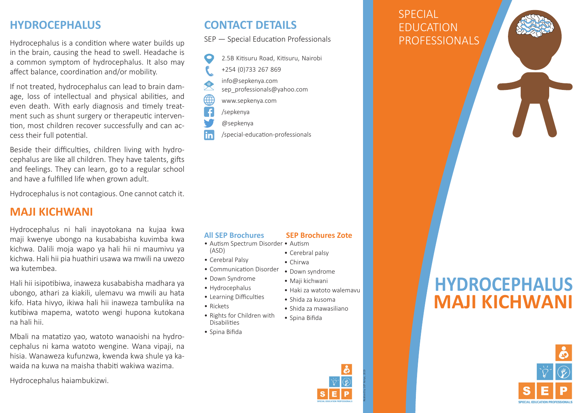## **HYDROCEPHALUS**

Hydrocephalus is a condition where water builds up in the brain, causing the head to swell. Headache is a common symptom of hydrocephalus. It also may affect balance, coordination and/or mobility.

If not treated, hydrocephalus can lead to brain damage, loss of intellectual and physical abilities, and even death. With early diagnosis and timely treatment such as shunt surgery or therapeutic intervention, most children recover successfully and can access their full potential.

Beside their difficulties, children living with hydrocephalus are like all children. They have talents, gifts and feelings. They can learn, go to a regular school and have a fulfilled life when grown adult.

Hydrocephalus is not contagious. One cannot catch it.

## **MAJI KICHWANI**

Hydrocephalus ni hali inayotokana na kujaa kwa maji kwenye ubongo na kusababisha kuvimba kwa kichwa. Dalili moja wapo ya hali hii ni maumivu ya kichwa. Hali hii pia huathiri usawa wa mwili na uwezo wa kutembea.

Hali hii isipotibiwa, inaweza kusababisha madhara ya ubongo, athari za kiakili, ulemavu wa mwili au hata kifo. Hata hivyo, ikiwa hali hii inaweza tambulika na kutibiwa mapema, watoto wengi hupona kutokana na hali hii.

Mbali na matatizo yao, watoto wanaoishi na hydrocephalus ni kama watoto wengine. Wana vipaji, na hisia. Wanaweza kufunzwa, kwenda kwa shule ya kawaida na kuwa na maisha thabiti wakiwa wazima.

Hydrocephalus haiambukizwi.

## **CONTACT DETAILS**

SEP — Special Education Professionals

| 2.5B Kitisuru Road, Kitisuru, Nairobi |
|---------------------------------------|
| +254 (0)733 267 869                   |
| info@sepkenya.com                     |
| sep professionals@yahoo.com           |
| www.sepkenya.com                      |
| /sepkenya                             |
| @sepkenya                             |
| /special-education-professionals      |

/special-education-professionals

### **All SEP Brochures**

- Autism Spectrum Disorder Autism (ASD)
- Cerebral Palsy
- Communication Disorder
- Down Syndrome
- Hydrocephalus
- Learning Difficulties
- Rickets
- Rights for Children with **Disabilities**
- Spina Bifida

#### • Down syndrome • Maji kichwani

 **SEP Brochures Zote**

- Haki za watoto walemavu
- Shida za kusoma
- Shida za mawasiliano
- 



EDUCATION

**SPECIAL** 

# **HYDROCEPHALUS MAJI KICHWANI**



• Spina Bifida



Realised by SEP Kenya, 2019

• Cerebral palsy • Chirwa